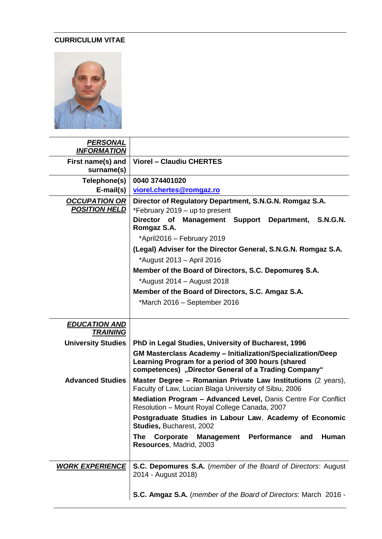## **CURRICULUM VITAE**



| <b>PERSONAL</b><br><b>INFORMATION</b>        |                                                                                                                                                                                  |  |  |  |  |  |  |  |
|----------------------------------------------|----------------------------------------------------------------------------------------------------------------------------------------------------------------------------------|--|--|--|--|--|--|--|
| First name(s) and<br>surname(s)              | <b>Viorel - Claudiu CHERTES</b>                                                                                                                                                  |  |  |  |  |  |  |  |
| Telephone(s)                                 | 0040 374401020                                                                                                                                                                   |  |  |  |  |  |  |  |
| $E$ -mail(s)                                 | viorel.chertes@romgaz.ro                                                                                                                                                         |  |  |  |  |  |  |  |
| <b>OCCUPATION OR</b><br><b>POSITION HELD</b> | Director of Regulatory Department, S.N.G.N. Romgaz S.A.<br>*February 2019 - up to present                                                                                        |  |  |  |  |  |  |  |
|                                              | Director of Management Support<br>Department,<br><b>S.N.G.N.</b><br>Romgaz S.A.                                                                                                  |  |  |  |  |  |  |  |
|                                              | *April2016 - February 2019                                                                                                                                                       |  |  |  |  |  |  |  |
|                                              | (Legal) Adviser for the Director General, S.N.G.N. Romgaz S.A.                                                                                                                   |  |  |  |  |  |  |  |
|                                              | *August 2013 - April 2016                                                                                                                                                        |  |  |  |  |  |  |  |
|                                              | Member of the Board of Directors, S.C. Depomures S.A.                                                                                                                            |  |  |  |  |  |  |  |
|                                              | *August 2014 – August 2018                                                                                                                                                       |  |  |  |  |  |  |  |
|                                              | Member of the Board of Directors, S.C. Amgaz S.A.                                                                                                                                |  |  |  |  |  |  |  |
|                                              | *March 2016 - September 2016                                                                                                                                                     |  |  |  |  |  |  |  |
|                                              |                                                                                                                                                                                  |  |  |  |  |  |  |  |
|                                              |                                                                                                                                                                                  |  |  |  |  |  |  |  |
| <b>EDUCATION AND</b><br><b>TRAINING</b>      |                                                                                                                                                                                  |  |  |  |  |  |  |  |
| <b>University Studies</b>                    | PhD in Legal Studies, University of Bucharest, 1996                                                                                                                              |  |  |  |  |  |  |  |
|                                              | <b>GM Masterclass Academy - Initialization/Specialization/Deep</b><br>Learning Program for a period of 300 hours (shared<br>competences) "Director General of a Trading Company" |  |  |  |  |  |  |  |
| <b>Advanced Studies</b>                      | Master Degree - Romanian Private Law Institutions (2 years),<br>Faculty of Law, Lucian Blaga University of Sibiu, 2006                                                           |  |  |  |  |  |  |  |
|                                              | Mediation Program - Advanced Level, Danis Centre For Conflict<br>Resolution - Mount Royal College Canada, 2007                                                                   |  |  |  |  |  |  |  |
|                                              | Postgraduate Studies in Labour Law, Academy of Economic<br>Studies, Bucharest, 2002                                                                                              |  |  |  |  |  |  |  |
|                                              | Performance and<br>Human<br><b>The</b><br>Corporate<br><b>Management</b><br>Resources, Madrid, 2003                                                                              |  |  |  |  |  |  |  |
| <b>WORK EXPERIENCE</b>                       | S.C. Depomures S.A. (member of the Board of Directors: August<br>2014 - August 2018)                                                                                             |  |  |  |  |  |  |  |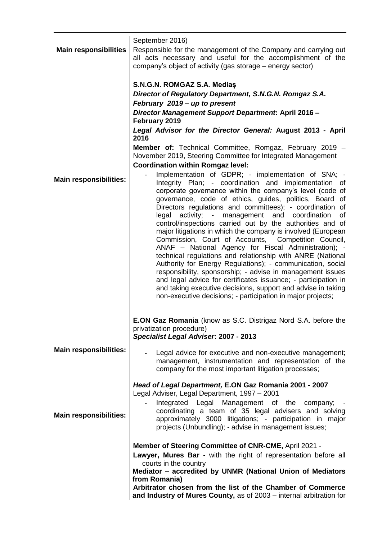| <b>Main responsibilities</b>  | September 2016)<br>Responsible for the management of the Company and carrying out<br>all acts necessary and useful for the accomplishment of the<br>company's object of activity (gas storage – energy sector)                                                                                                                                                                                                                                                                                                                                                                                                                                                                                                                                                                                                                                                                                                                                                                             |  |  |  |  |  |  |
|-------------------------------|--------------------------------------------------------------------------------------------------------------------------------------------------------------------------------------------------------------------------------------------------------------------------------------------------------------------------------------------------------------------------------------------------------------------------------------------------------------------------------------------------------------------------------------------------------------------------------------------------------------------------------------------------------------------------------------------------------------------------------------------------------------------------------------------------------------------------------------------------------------------------------------------------------------------------------------------------------------------------------------------|--|--|--|--|--|--|
|                               | S.N.G.N. ROMGAZ S.A. Medias<br>Director of Regulatory Department, S.N.G.N. Romgaz S.A.<br>February 2019 - up to present<br>Director Management Support Department: April 2016 -<br>February 2019<br>Legal Advisor for the Director General: August 2013 - April                                                                                                                                                                                                                                                                                                                                                                                                                                                                                                                                                                                                                                                                                                                            |  |  |  |  |  |  |
|                               | 2016<br>Member of: Technical Committee, Romgaz, February 2019 -<br>November 2019, Steering Committee for Integrated Management<br><b>Coordination within Romgaz level:</b>                                                                                                                                                                                                                                                                                                                                                                                                                                                                                                                                                                                                                                                                                                                                                                                                                 |  |  |  |  |  |  |
| <b>Main responsibilities:</b> | Implementation of GDPR; - implementation of SNA; -<br>Integrity Plan; - coordination and implementation of<br>corporate governance within the company's level (code of<br>governance, code of ethics, guides, politics, Board of<br>Directors regulations and committees); - coordination of<br>legal activity; - management and coordination<br>οf<br>control/inspections carried out by the authorities and of<br>major litigations in which the company is involved (European<br>Commission, Court of Accounts, Competition Council,<br>ANAF - National Agency for Fiscal Administration); -<br>technical regulations and relationship with ANRE (National<br>Authority for Energy Regulations); - communication, social<br>responsibility, sponsorship; - advise in management issues<br>and legal advice for certificates issuance; - participation in<br>and taking executive decisions, support and advise in taking<br>non-executive decisions; - participation in major projects; |  |  |  |  |  |  |
|                               | <b>E.ON Gaz Romania</b> (know as S.C. Distrigaz Nord S.A. before the<br>privatization procedure)<br>Specialist Legal Adviser: 2007 - 2013                                                                                                                                                                                                                                                                                                                                                                                                                                                                                                                                                                                                                                                                                                                                                                                                                                                  |  |  |  |  |  |  |
| <b>Main responsibilities:</b> | Legal advice for executive and non-executive management;<br>management, instrumentation and representation of the<br>company for the most important litigation processes;                                                                                                                                                                                                                                                                                                                                                                                                                                                                                                                                                                                                                                                                                                                                                                                                                  |  |  |  |  |  |  |
| <b>Main responsibilities:</b> | Head of Legal Department, E.ON Gaz Romania 2001 - 2007<br>Legal Adviser, Legal Department, 1997 - 2001<br>Integrated Legal Management of the company;<br>coordinating a team of 35 legal advisers and solving<br>approximately 3000 litigations; - participation in major<br>projects (Unbundling); - advise in management issues;                                                                                                                                                                                                                                                                                                                                                                                                                                                                                                                                                                                                                                                         |  |  |  |  |  |  |
|                               | Member of Steering Committee of CNR-CME, April 2021 -<br>Lawyer, Mures Bar - with the right of representation before all<br>courts in the country<br>Mediator - accredited by UNMR (National Union of Mediators<br>from Romania)<br>Arbitrator chosen from the list of the Chamber of Commerce<br>and Industry of Mures County, as of 2003 – internal arbitration for                                                                                                                                                                                                                                                                                                                                                                                                                                                                                                                                                                                                                      |  |  |  |  |  |  |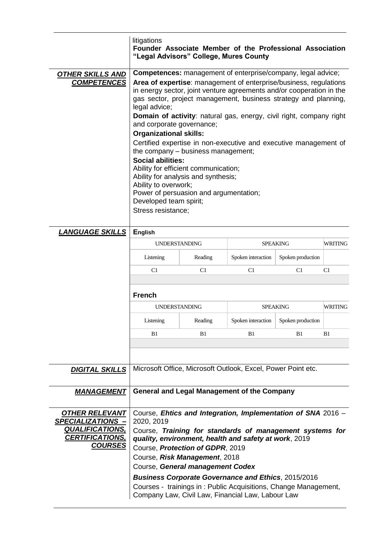|                                                    | litigations<br>Founder Associate Member of the Professional Association<br>"Legal Advisors" College, Mures County                                                                                                                                                                                                                                                                                                                                                                                                                                                                                                                                                                                                                                                                       |         |                                                              |                   |         |  |  |  |  |
|----------------------------------------------------|-----------------------------------------------------------------------------------------------------------------------------------------------------------------------------------------------------------------------------------------------------------------------------------------------------------------------------------------------------------------------------------------------------------------------------------------------------------------------------------------------------------------------------------------------------------------------------------------------------------------------------------------------------------------------------------------------------------------------------------------------------------------------------------------|---------|--------------------------------------------------------------|-------------------|---------|--|--|--|--|
| <b>OTHER SKILLS AND</b><br><b>COMPETENCES</b>      | <b>Competences:</b> management of enterprise/company, legal advice;<br>Area of expertise: management of enterprise/business, regulations<br>in energy sector, joint venture agreements and/or cooperation in the<br>gas sector, project management, business strategy and planning,<br>legal advice;<br><b>Domain of activity:</b> natural gas, energy, civil right, company right<br>and corporate governance;<br><b>Organizational skills:</b><br>Certified expertise in non-executive and executive management of<br>the company - business management;<br><b>Social abilities:</b><br>Ability for efficient communication;<br>Ability for analysis and synthesis;<br>Ability to overwork;<br>Power of persuasion and argumentation;<br>Developed team spirit;<br>Stress resistance; |         |                                                              |                   |         |  |  |  |  |
| <b>LANGUAGE SKILLS</b>                             | <b>English</b>                                                                                                                                                                                                                                                                                                                                                                                                                                                                                                                                                                                                                                                                                                                                                                          |         |                                                              |                   |         |  |  |  |  |
|                                                    | <b>UNDERSTANDING</b>                                                                                                                                                                                                                                                                                                                                                                                                                                                                                                                                                                                                                                                                                                                                                                    |         |                                                              | <b>SPEAKING</b>   | WRITING |  |  |  |  |
|                                                    | Listening                                                                                                                                                                                                                                                                                                                                                                                                                                                                                                                                                                                                                                                                                                                                                                               | Reading | Spoken interaction                                           | Spoken production |         |  |  |  |  |
|                                                    | C1                                                                                                                                                                                                                                                                                                                                                                                                                                                                                                                                                                                                                                                                                                                                                                                      | C1      | C1                                                           | C1                | C1      |  |  |  |  |
|                                                    | <b>French</b>                                                                                                                                                                                                                                                                                                                                                                                                                                                                                                                                                                                                                                                                                                                                                                           |         |                                                              |                   |         |  |  |  |  |
|                                                    | <b>UNDERSTANDING</b>                                                                                                                                                                                                                                                                                                                                                                                                                                                                                                                                                                                                                                                                                                                                                                    |         | <b>SPEAKING</b>                                              | WRITING           |         |  |  |  |  |
|                                                    | Listening                                                                                                                                                                                                                                                                                                                                                                                                                                                                                                                                                                                                                                                                                                                                                                               | Reading | Spoken interaction                                           | Spoken production |         |  |  |  |  |
|                                                    | B1                                                                                                                                                                                                                                                                                                                                                                                                                                                                                                                                                                                                                                                                                                                                                                                      | B1      | B1                                                           | B1                | B1      |  |  |  |  |
|                                                    |                                                                                                                                                                                                                                                                                                                                                                                                                                                                                                                                                                                                                                                                                                                                                                                         |         |                                                              |                   |         |  |  |  |  |
| <u>DIGITAL SKILLS</u>                              | Microsoft Office, Microsoft Outlook, Excel, Power Point etc.                                                                                                                                                                                                                                                                                                                                                                                                                                                                                                                                                                                                                                                                                                                            |         |                                                              |                   |         |  |  |  |  |
| <u> MANAGEMENT</u>                                 | <b>General and Legal Management of the Company</b>                                                                                                                                                                                                                                                                                                                                                                                                                                                                                                                                                                                                                                                                                                                                      |         |                                                              |                   |         |  |  |  |  |
| <b>OTHER RELEVANT</b>                              |                                                                                                                                                                                                                                                                                                                                                                                                                                                                                                                                                                                                                                                                                                                                                                                         |         | Course, Ehtics and Integration, Implementation of SNA 2016 - |                   |         |  |  |  |  |
| <b>SPECIALIZATIONS -</b><br><b>QUALIFICATIONS,</b> | 2020, 2019                                                                                                                                                                                                                                                                                                                                                                                                                                                                                                                                                                                                                                                                                                                                                                              |         | Course, Training for standards of management systems for     |                   |         |  |  |  |  |
| <b>CERTIFICATIONS,</b>                             |                                                                                                                                                                                                                                                                                                                                                                                                                                                                                                                                                                                                                                                                                                                                                                                         |         | quality, environment, health and safety at work, 2019        |                   |         |  |  |  |  |
| <b>COURSES</b>                                     | Course, Protection of GDPR, 2019                                                                                                                                                                                                                                                                                                                                                                                                                                                                                                                                                                                                                                                                                                                                                        |         |                                                              |                   |         |  |  |  |  |
|                                                    | Course, Risk Management, 2018<br>Course, General management Codex                                                                                                                                                                                                                                                                                                                                                                                                                                                                                                                                                                                                                                                                                                                       |         |                                                              |                   |         |  |  |  |  |
|                                                    | <b>Business Corporate Governance and Ethics, 2015/2016</b>                                                                                                                                                                                                                                                                                                                                                                                                                                                                                                                                                                                                                                                                                                                              |         |                                                              |                   |         |  |  |  |  |
|                                                    | Courses - trainings in: Public Acquisitions, Change Management,                                                                                                                                                                                                                                                                                                                                                                                                                                                                                                                                                                                                                                                                                                                         |         |                                                              |                   |         |  |  |  |  |

Company Law, Civil Law, Financial Law, Labour Law